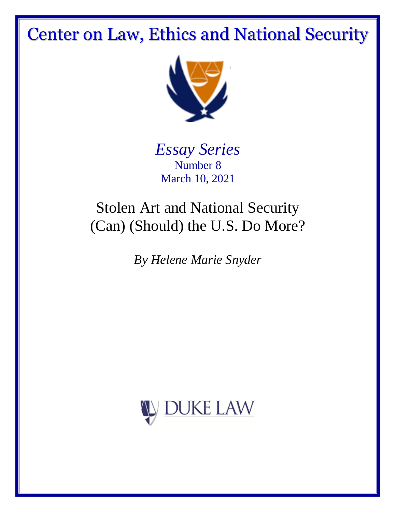# Center on Law, Ethics and National Security



*Essay Series* Number 8 March 10, 2021

## Stolen Art and National Security (Can) (Should) the U.S. Do More?

*By Helene Marie Snyder*

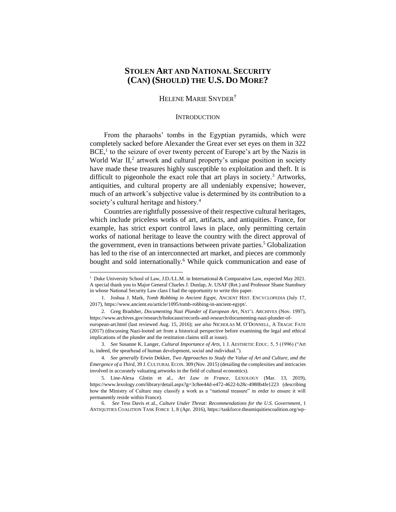## **STOLEN ART AND NATIONAL SECURITY (CAN) (SHOULD) THE U.S. DO MORE?**

#### HELENE MARIE SNYDER<sup>†</sup>

#### **INTRODUCTION**

From the pharaohs' tombs in the Egyptian pyramids, which were completely sacked before Alexander the Great ever set eyes on them in 322  $BCE<sup>1</sup>$  to the seizure of over twenty percent of Europe's art by the Nazis in World War II,<sup>2</sup> artwork and cultural property's unique position in society have made these treasures highly susceptible to exploitation and theft. It is difficult to pigeonhole the exact role that art plays in society.<sup>3</sup> Artworks, antiquities, and cultural property are all undeniably expensive; however, much of an artwork's subjective value is determined by its contribution to a society's cultural heritage and history.<sup>4</sup>

Countries are rightfully possessive of their respective cultural heritages, which include priceless works of art, artifacts, and antiquities. France, for example, has strict export control laws in place, only permitting certain works of national heritage to leave the country with the direct approval of the government, even in transactions between private parties.<sup>5</sup> Globalization has led to the rise of an interconnected art market, and pieces are commonly bought and sold internationally.<sup>6</sup> While quick communication and ease of

<sup>†</sup> Duke University School of Law, J.D./LL.M. in International & Comparative Law, expected May 2021. A special thank you to Major General Charles J. Dunlap, Jr. USAF (Ret.) and Professor Shane Stansbury in whose National Security Law class I had the opportunity to write this paper.

<sup>1.</sup> Joshua J. Mark, *Tomb Robbing in Ancient Egypt*, ANCIENT HIST. ENCYCLOPEDIA (July 17, 2017), https://www.ancient.eu/article/1095/tomb-robbing-in-ancient-egypt/.

<sup>2.</sup> Greg Bradsher, *Documenting Nazi Plunder of European Art*, NAT'L ARCHIVES (Nov. 1997), https://www.archives.gov/research/holocaust/records-and-research/documenting-nazi-plunder-ofeuropean-art.html (last reviewed Aug. 15, 2016); *see also* NICHOLAS M. O'DONNELL, A TRAGIC FATE (2017) (discussing Nazi-looted art from a historical perspective before examining the legal and ethical implications of the plunder and the restitution claims still at issue).

<sup>3.</sup> *See* Susanne K. Langer, *Cultural Importance of Arts*, 1 J. AESTHETIC EDUC. 5, 5 (1996) ("Art is, indeed, the spearhead of human development, social and individual.").

<sup>4.</sup> *See generally* Erwin Dekker, *Two Approaches to Study the Value of Art and Culture, and the Emergence of a Third*, 39 J. CULTURAL ECON. 309 (Nov. 2015) (detailing the complexities and intricacies involved in accurately valuating artworks in the field of cultural economics).

<sup>5.</sup> Line-Alexa Glotin et al., *Art Law in France*, LEXOLOGY (Mar. 13, 2019), https://www.lexology.com/library/detail.aspx?g=3c8ee44d-e472-4622-b28c-4980b4fe1223 (describing how the Ministry of Culture may classify a work as a "national treasure" in order to ensure it will permanently reside within France).

 <sup>6.</sup> *See* Tess Davis et al., *Culture Under Threat: Recommendations for the U.S. Government*, 1 ANTIQUITIES COALITION TASK FORCE 1, 8 (Apr. 2016), https://taskforce.theantiquitiescoalition.org/wp-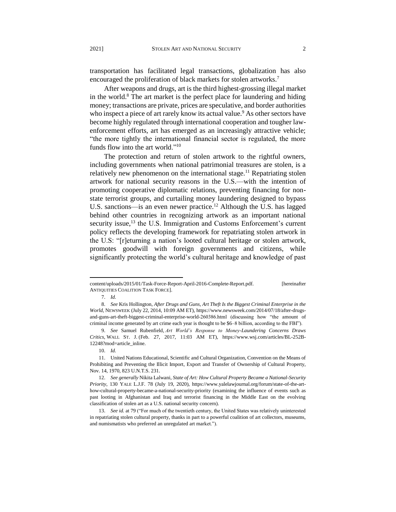transportation has facilitated legal transactions, globalization has also encouraged the proliferation of black markets for stolen artworks.<sup>7</sup>

After weapons and drugs, art is the third highest-grossing illegal market in the world. $8$  The art market is the perfect place for laundering and hiding money; transactions are private, prices are speculative, and border authorities who inspect a piece of art rarely know its actual value.<sup>9</sup> As other sectors have become highly regulated through international cooperation and tougher lawenforcement efforts, art has emerged as an increasingly attractive vehicle; "the more tightly the international financial sector is regulated, the more funds flow into the art world."<sup>10</sup>

The protection and return of stolen artwork to the rightful owners, including governments when national patrimonial treasures are stolen, is a relatively new phenomenon on the international stage.<sup>11</sup> Repatriating stolen artwork for national security reasons in the U.S.—with the intention of promoting cooperative diplomatic relations, preventing financing for nonstate terrorist groups, and curtailing money laundering designed to bypass U.S. sanctions—is an even newer practice.<sup>12</sup> Although the U.S. has lagged behind other countries in recognizing artwork as an important national security issue,<sup>13</sup> the U.S. Immigration and Customs Enforcement's current policy reflects the developing framework for repatriating stolen artwork in the U.S: "[r]eturning a nation's looted cultural heritage or stolen artwork, promotes goodwill with foreign governments and citizens, while significantly protecting the world's cultural heritage and knowledge of past

content/uploads/2015/01/Task-Force-Report-April-2016-Complete-Report.pdf. [hereinafter ANTIQUITIES COALITION TASK FORCE].

<sup>7.</sup> *Id.*

<sup>8.</sup> *See* Kris Hollington, *After Drugs and Guns, Art Theft Is the Biggest Criminal Enterprise in the World*, NEWSWEEK (July 22, 2014, 10:09 AM ET), https://www.newsweek.com/2014/07/18/after-drugsand-guns-art-theft-biggest-criminal-enterprise-world-260386.html (discussing how "the amount of criminal income generated by art crime each year is thought to be \$6–8 billion, according to the FBI").

<sup>9.</sup> *See* Samuel Rubenfield*, Art World's Response to Money-Laundering Concerns Draws Critics*, WALL ST. J. (Feb. 27, 2017, 11:03 AM ET), https://www.wsj.com/articles/BL-252B-12248?mod=article\_inline.

<sup>10.</sup> *Id.*

<sup>11.</sup> United Nations Educational, Scientific and Cultural Organization, Convention on the Means of Prohibiting and Preventing the Illicit Import, Export and Transfer of Ownership of Cultural Property, Nov. 14, 1970, 823 U.N.T.S. 231.

<sup>12.</sup> *See generally* Nikita Lalwani, *State of Art: How Cultural Property Became a National-Security Priority*, 130 YALE L.J.F. 78 (July 19, 2020), https://www.yalelawjournal.org/forum/state-of-the-arthow-cultural-property-became-a-national-security-priority (examining the influence of events such as past looting in Afghanistan and Iraq and terrorist financing in the Middle East on the evolving classification of stolen art as a U.S. national security concern).

<sup>13.</sup> *See id.* at 79 ("For much of the twentieth century, the United States was relatively uninterested in repatriating stolen cultural property, thanks in part to a powerful coalition of art collectors, museums, and numismatists who preferred an unregulated art market.").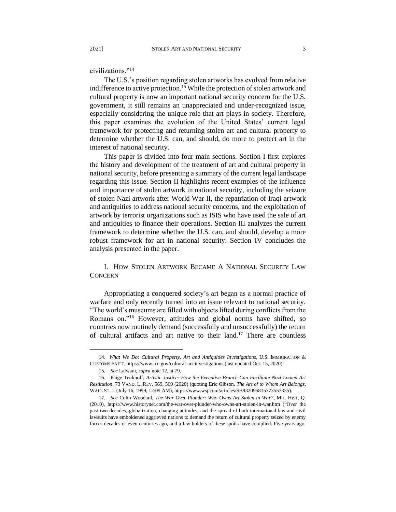civilizations."<sup>14</sup>

The U.S.'s position regarding stolen artworks has evolved from relative indifference to active protection.<sup>15</sup> While the protection of stolen artwork and cultural property is now an important national security concern for the U.S. government, it still remains an unappreciated and under-recognized issue, especially considering the unique role that art plays in society. Therefore, this paper examines the evolution of the United States' current legal framework for protecting and returning stolen art and cultural property to determine whether the U.S. can, and should, do more to protect art in the interest of national security.

This paper is divided into four main sections. Section I first explores the history and development of the treatment of art and cultural property in national security, before presenting a summary of the current legal landscape regarding this issue. Section II highlights recent examples of the influence and importance of stolen artwork in national security, including the seizure of stolen Nazi artwork after World War II, the repatriation of Iraqi artwork and antiquities to address national security concerns, and the exploitation of artwork by terrorist organizations such as ISIS who have used the sale of art and antiquities to finance their operations. Section III analyzes the current framework to determine whether the U.S. can, and should, develop a more robust framework for art in national security. Section IV concludes the analysis presented in the paper.

I. HOW STOLEN ARTWORK BECAME A NATIONAL SECURITY LAW **CONCERN** 

Appropriating a conquered society's art began as a normal practice of warfare and only recently turned into an issue relevant to national security. "The world's museums are filled with objects lifted during conflicts from the Romans on."<sup>16</sup> However, attitudes and global norms have shifted, so countries now routinely demand (successfully and unsuccessfully) the return of cultural artifacts and art native to their land.<sup>17</sup> There are countless

<sup>14.</sup> *What We Do: Cultural Property, Art and Antiquities Investigations*, U.S. IMMIGRATION & CUSTOMS ENF'T, https://www.ice.gov/cultural-art-investigations (last updated Oct. 15, 2020).

<sup>15.</sup> *See* Lalwani, *supra* note 12, at 79.

<sup>16.</sup> Paige Tenkhoff, *Artistic Justice: How the Executive Branch Can Facilitate Nazi-Looted Art Restitution*, 73 VAND. L. REV. 569, 569 (2020) (quoting Eric Gibson, *The Art of to Whom Art Belongs*, WALL ST. J. (July 16, 1999, 12:09 AM), https://www.wsj.com/articles/SB932095815373557335).

<sup>17.</sup> *See* Colin Woodard, *The War Over Plunder: Who Owns Art Stolen in War?*, MIL. HIST. Q. (2010), https://www.historynet.com/the-war-over-plunder-who-owns-art-stolen-in-war.htm ("Over the past two decades, globalization, changing attitudes, and the spread of both international law and civil lawsuits have emboldened aggrieved nations to demand the return of cultural property seized by enemy forces decades or even centuries ago, and a few holders of these spoils have complied. Five years ago,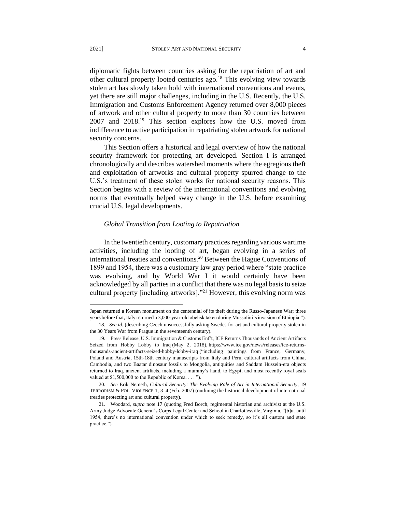diplomatic fights between countries asking for the repatriation of art and other cultural property looted centuries ago.<sup>18</sup> This evolving view towards stolen art has slowly taken hold with international conventions and events, yet there are still major challenges, including in the U.S. Recently, the U.S. Immigration and Customs Enforcement Agency returned over 8,000 pieces of artwork and other cultural property to more than 30 countries between 2007 and 2018.<sup>19</sup> This section explores how the U.S. moved from indifference to active participation in repatriating stolen artwork for national security concerns.

This Section offers a historical and legal overview of how the national security framework for protecting art developed. Section I is arranged chronologically and describes watershed moments where the egregious theft and exploitation of artworks and cultural property spurred change to the U.S.'s treatment of these stolen works for national security reasons. This Section begins with a review of the international conventions and evolving norms that eventually helped sway change in the U.S. before examining crucial U.S. legal developments.

#### *Global Transition from Looting to Repatriation*

In the twentieth century, customary practices regarding various wartime activities, including the looting of art, began evolving in a series of international treaties and conventions.<sup>20</sup> Between the Hague Conventions of 1899 and 1954, there was a customary law gray period where "state practice was evolving, and by World War I it would certainly have been acknowledged by all parties in a conflict that there was no legal basis to seize cultural property [including artworks]."<sup>21</sup> However, this evolving norm was

Japan returned a Korean monument on the centennial of its theft during the Russo-Japanese War; three years before that, Italy returned a 3,000-year-old obelisk taken during Mussolini's invasion of Ethiopia.").

<sup>18.</sup> *See id.* (describing Czech unsuccessfully asking Swedes for art and cultural property stolen in the 30 Years War from Prague in the seventeenth century).

<sup>19.</sup> Press Release, U.S. Immigration & Customs Enf't, ICE Returns Thousands of Ancient Artifacts Seized from Hobby Lobby to Iraq (May 2, 2018), https://www.ice.gov/news/releases/ice-returnsthousands-ancient-artifacts-seized-hobby-lobby-iraq ("including paintings from France, Germany, Poland and Austria, 15th-18th century manuscripts from Italy and Peru, cultural artifacts from China, Cambodia, and two Baatar dinosaur fossils to Mongolia, antiquities and Saddam Hussein-era objects returned to Iraq, ancient artifacts, including a mummy's hand, to Egypt, and most recently royal seals valued at \$1,500,000 to the Republic of Korea. . . . ").

<sup>20.</sup> *See* Erik Nemeth, *Cultural Security: The Evolving Role of Art in International Security*, 19 TERRORISM & POL. VIOLENCE 1, 3–4 (Feb. 2007) (outlining the historical development of international treaties protecting art and cultural property).

<sup>21.</sup> Woodard, *supra* note 17 (quoting Fred Borch, regimental historian and archivist at the U.S. Army Judge Advocate General's Corps Legal Center and School in Charlottesville, Virginia, "[b]ut until 1954, there's no international convention under which to seek remedy, so it's all custom and state practice.").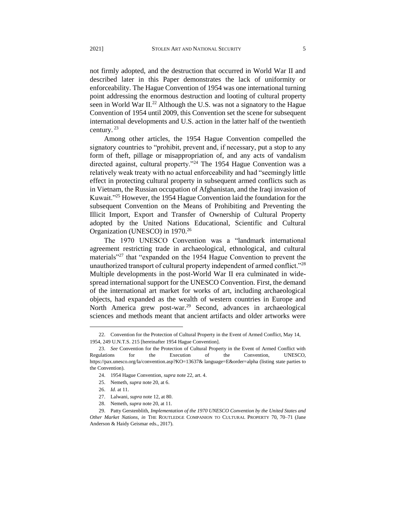not firmly adopted, and the destruction that occurred in World War II and described later in this Paper demonstrates the lack of uniformity or enforceability. The Hague Convention of 1954 was one international turning point addressing the enormous destruction and looting of cultural property seen in World War II.<sup>22</sup> Although the U.S. was not a signatory to the Hague Convention of 1954 until 2009, this Convention set the scene for subsequent international developments and U.S. action in the latter half of the twentieth century. <sup>23</sup>

Among other articles, the 1954 Hague Convention compelled the signatory countries to "prohibit, prevent and, if necessary, put a stop to any form of theft, pillage or misappropriation of, and any acts of vandalism directed against, cultural property.<sup>324</sup> The 1954 Hague Convention was a relatively weak treaty with no actual enforceability and had "seemingly little effect in protecting cultural property in subsequent armed conflicts such as in Vietnam, the Russian occupation of Afghanistan, and the Iraqi invasion of Kuwait."<sup>25</sup> However, the 1954 Hague Convention laid the foundation for the subsequent Convention on the Means of Prohibiting and Preventing the Illicit Import, Export and Transfer of Ownership of Cultural Property adopted by the United Nations Educational, Scientific and Cultural Organization (UNESCO) in 1970.<sup>26</sup>

The 1970 UNESCO Convention was a "landmark international agreement restricting trade in archaeological, ethnological, and cultural materials<sup>"27</sup> that "expanded on the 1954 Hague Convention to prevent the unauthorized transport of cultural property independent of armed conflict."<sup>28</sup> Multiple developments in the post-World War II era culminated in widespread international support for the UNESCO Convention. First, the demand of the international art market for works of art, including archaeological objects, had expanded as the wealth of western countries in Europe and North America grew post-war.<sup>29</sup> Second, advances in archaeological sciences and methods meant that ancient artifacts and older artworks were

<sup>22.</sup> Convention for the Protection of Cultural Property in the Event of Armed Conflict, May 14, 1954, 249 U.N.T.S. 215 [hereinafter 1954 Hague Convention].

<sup>23.</sup> *See* Convention for the Protection of Cultural Property in the Event of Armed Conflict with Regulations for the Execution of the Convention, UNESCO, https://pax.unesco.org/la/convention.asp?KO=13637& language=E&order=alpha (listing state parties to the Convention).

<sup>24.</sup> 1954 Hague Convention, *supra* note 22, art. 4.

<sup>25.</sup> Nemeth, *supra* note 20, at 6.

<sup>26.</sup> *Id.* at 11.

<sup>27.</sup> Lalwani, *supra* note 12, at 80.

<sup>28.</sup> Nemeth, *supra* note 20, at 11.

<sup>29.</sup> Patty Gerstenblith, *Implementation of the 1970 UNESCO Convention by the United States and Other Market Nations*, *in* THE ROUTLEDGE COMPANION TO CULTURAL PROPERTY 70, 70–71 (Jane Anderson & Haidy Geismar eds., 2017).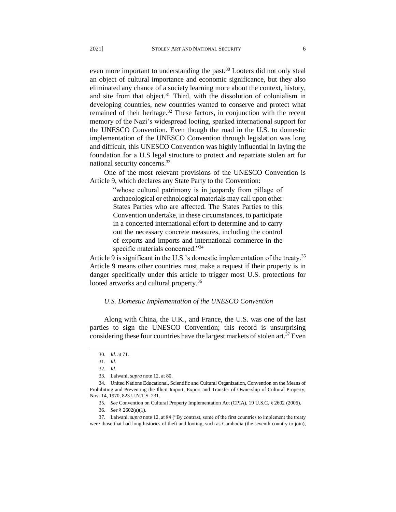even more important to understanding the past.<sup>30</sup> Looters did not only steal an object of cultural importance and economic significance, but they also eliminated any chance of a society learning more about the context, history, and site from that object.<sup>31</sup> Third, with the dissolution of colonialism in developing countries, new countries wanted to conserve and protect what remained of their heritage.<sup>32</sup> These factors, in conjunction with the recent memory of the Nazi's widespread looting, sparked international support for the UNESCO Convention. Even though the road in the U.S. to domestic implementation of the UNESCO Convention through legislation was long and difficult, this UNESCO Convention was highly influential in laying the foundation for a U.S legal structure to protect and repatriate stolen art for national security concerns.<sup>33</sup>

One of the most relevant provisions of the UNESCO Convention is Article 9, which declares any State Party to the Convention:

> "whose cultural patrimony is in jeopardy from pillage of archaeological or ethnological materials may call upon other States Parties who are affected. The States Parties to this Convention undertake, in these circumstances, to participate in a concerted international effort to determine and to carry out the necessary concrete measures, including the control of exports and imports and international commerce in the specific materials concerned."34

Article 9 is significant in the U.S.'s domestic implementation of the treaty.<sup>35</sup> Article 9 means other countries must make a request if their property is in danger specifically under this article to trigger most U.S. protections for looted artworks and cultural property.<sup>36</sup>

#### *U.S. Domestic Implementation of the UNESCO Convention*

Along with China, the U.K., and France, the U.S. was one of the last parties to sign the UNESCO Convention; this record is unsurprising considering these four countries have the largest markets of stolen art.<sup>37</sup> Even

<sup>30.</sup> *Id.* at 71.

<sup>31.</sup> *Id.*

<sup>32.</sup> *Id.*

<sup>33.</sup> Lalwani, *supra* note 12, at 80.

<sup>34.</sup> United Nations Educational, Scientific and Cultural Organization, Convention on the Means of Prohibiting and Preventing the Illicit Import, Export and Transfer of Ownership of Cultural Property, Nov. 14, 1970, 823 U.N.T.S. 231.

<sup>35.</sup> *See* Convention on Cultural Property Implementation Act (CPIA), 19 U.S.C. § 2602 (2006).

<sup>36.</sup> *See* § 2602(a)(1).

<sup>37.</sup> Lalwani, *supra* note 12, at 84 ("By contrast, some of the first countries to implement the treaty were those that had long histories of theft and looting, such as Cambodia (the seventh country to join),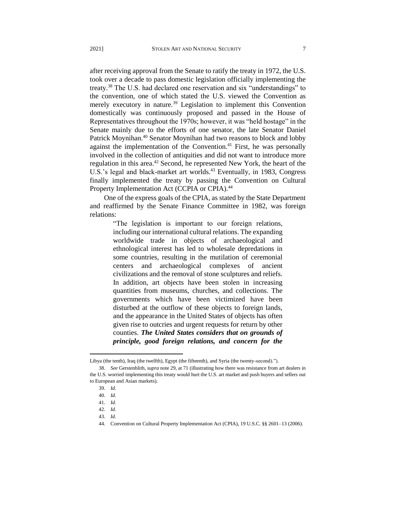after receiving approval from the Senate to ratify the treaty in 1972, the U.S. took over a decade to pass domestic legislation officially implementing the treaty.<sup>38</sup> The U.S. had declared one reservation and six "understandings" to the convention, one of which stated the U.S. viewed the Convention as merely executory in nature.<sup>39</sup> Legislation to implement this Convention domestically was continuously proposed and passed in the House of Representatives throughout the 1970s; however, it was "held hostage" in the Senate mainly due to the efforts of one senator, the late Senator Daniel Patrick Moynihan.<sup>40</sup> Senator Moynihan had two reasons to block and lobby against the implementation of the Convention. $41$  First, he was personally involved in the collection of antiquities and did not want to introduce more regulation in this area.<sup>42</sup> Second, he represented New York, the heart of the U.S.'s legal and black-market art worlds.<sup>43</sup> Eventually, in 1983, Congress finally implemented the treaty by passing the Convention on Cultural Property Implementation Act (CCPIA or CPIA).<sup>44</sup>

One of the express goals of the CPIA, as stated by the State Department and reaffirmed by the Senate Finance Committee in 1982, was foreign relations:

> "The legislation is important to our foreign relations, including our international cultural relations. The expanding worldwide trade in objects of archaeological and ethnological interest has led to wholesale depredations in some countries, resulting in the mutilation of ceremonial centers and archaeological complexes of ancient civilizations and the removal of stone sculptures and reliefs. In addition, art objects have been stolen in increasing quantities from museums, churches, and collections. The governments which have been victimized have been disturbed at the outflow of these objects to foreign lands, and the appearance in the United States of objects has often given rise to outcries and urgent requests for return by other counties. *The United States considers that on grounds of principle, good foreign relations, and concern for the*

Libya (the tenth), Iraq (the twelfth), Egypt (the fifteenth), and Syria (the twenty-second).").

<sup>38.</sup> *See* Gerstenblith, *supra* note 29, at 71 (illustrating how there was resistance from art dealers in the U.S. worried implementing this treaty would hurt the U.S. art market and push buyers and sellers out to European and Asian markets).

<sup>39.</sup> *Id.*

<sup>40.</sup> *Id.*

<sup>41.</sup> *Id.*

<sup>42.</sup> *Id.*

<sup>43.</sup> *Id.*

<sup>44.</sup> Convention on Cultural Property Implementation Act (CPIA), 19 U.S.C. §§ 2601–13 (2006).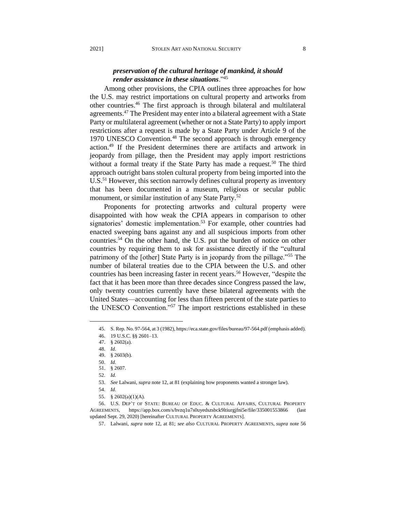## *preservation of the cultural heritage of mankind, it should render assistance in these situations*."<sup>45</sup>

Among other provisions, the CPIA outlines three approaches for how the U.S. may restrict importations on cultural property and artworks from other countries.<sup>46</sup> The first approach is through bilateral and multilateral agreements.<sup>47</sup> The President may enter into a bilateral agreement with a State Party or multilateral agreement (whether or not a State Party) to apply import restrictions after a request is made by a State Party under Article 9 of the 1970 UNESCO Convention.<sup>48</sup> The second approach is through emergency action.<sup>49</sup> If the President determines there are artifacts and artwork in jeopardy from pillage, then the President may apply import restrictions without a formal treaty if the State Party has made a request.<sup>50</sup> The third approach outright bans stolen cultural property from being imported into the U.S.<sup>51</sup> However, this section narrowly defines cultural property as inventory that has been documented in a museum, religious or secular public monument, or similar institution of any State Party.<sup>52</sup>

Proponents for protecting artworks and cultural property were disappointed with how weak the CPIA appears in comparison to other signatories' domestic implementation.<sup>53</sup> For example, other countries had enacted sweeping bans against any and all suspicious imports from other countries.<sup>54</sup> On the other hand, the U.S. put the burden of notice on other countries by requiring them to ask for assistance directly if the "cultural patrimony of the [other] State Party is in jeopardy from the pillage."<sup>55</sup> The number of bilateral treaties due to the CPIA between the U.S. and other countries has been increasing faster in recent years.<sup>56</sup> However, "despite the fact that it has been more than three decades since Congress passed the law, only twenty countries currently have these bilateral agreements with the United States—accounting for less than fifteen percent of the state parties to the UNESCO Convention."<sup>57</sup> The import restrictions established in these

 $\overline{a}$ 

51. § 2607.

52. *Id.*

55. § 2602(a)(1)(A).

56. U.S. DEP'T OF STATE: BUREAU OF EDUC. & CULTURAL AFFAIRS, CULTURAL PROPERTY AGREEMENTS, https://app.box.com/s/hvzq1u7s0uyedszsbck9ltiurgjfni5e/file/335001553866 (last updated Sept. 29, 2020) [hereinafter CULTURAL PROPERTY AGREEMENTS].

<sup>45.</sup> S. Rep. No. 97-564, at 3 (1982), https://eca.state.gov/files/bureau/97-564.pdf (emphasis added).

<sup>46.</sup> 19 U.S.C. §§ 2601–13.

 <sup>47. § 2602(</sup>a).

<sup>48.</sup> *Id.*

 <sup>49. § 2603(</sup>b).

<sup>50.</sup> *Id.*

<sup>53.</sup> *See* Lalwani, *supra* note 12, at 81 (explaining how proponents wanted a stronger law).

<sup>54.</sup> *Id.*

<sup>57.</sup> Lalwani, *supra* note 12, at 81; *see also* CULTURAL PROPERTY AGREEMENTS, *supra* note 56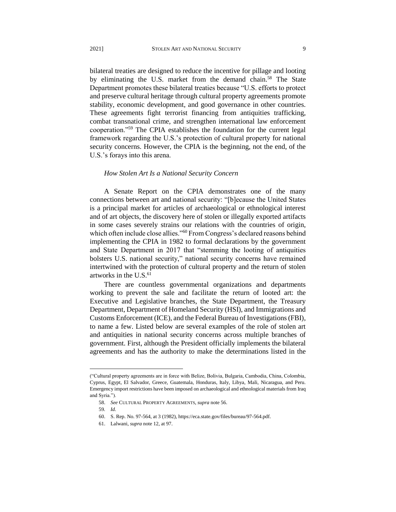bilateral treaties are designed to reduce the incentive for pillage and looting by eliminating the U.S. market from the demand chain.<sup>58</sup> The State Department promotes these bilateral treaties because "U.S. efforts to protect and preserve cultural heritage through cultural property agreements promote stability, economic development, and good governance in other countries. These agreements fight terrorist financing from antiquities trafficking, combat transnational crime, and strengthen international law enforcement cooperation."<sup>59</sup> The CPIA establishes the foundation for the current legal framework regarding the U.S.'s protection of cultural property for national security concerns. However, the CPIA is the beginning, not the end, of the

U.S.'s forays into this arena.

#### *How Stolen Art Is a National Security Concern*

A Senate Report on the CPIA demonstrates one of the many connections between art and national security: "[b]ecause the United States is a principal market for articles of archaeological or ethnological interest and of art objects, the discovery here of stolen or illegally exported artifacts in some cases severely strains our relations with the countries of origin, which often include close allies."<sup>60</sup> From Congress's declared reasons behind implementing the CPIA in 1982 to formal declarations by the government and State Department in 2017 that "stemming the looting of antiquities bolsters U.S. national security," national security concerns have remained intertwined with the protection of cultural property and the return of stolen artworks in the  $U.S.<sup>61</sup>$ 

There are countless governmental organizations and departments working to prevent the sale and facilitate the return of looted art: the Executive and Legislative branches, the State Department, the Treasury Department, Department of Homeland Security (HSI), and Immigrations and Customs Enforcement (ICE), and the Federal Bureau of Investigations (FBI), to name a few. Listed below are several examples of the role of stolen art and antiquities in national security concerns across multiple branches of government. First, although the President officially implements the bilateral agreements and has the authority to make the determinations listed in the

<sup>(&</sup>quot;Cultural property agreements are in force with Belize, Bolivia, Bulgaria, Cambodia, China, Colombia, Cyprus, Egypt, El Salvador, Greece, Guatemala, Honduras, Italy, Libya, Mali, Nicaragua, and Peru. Emergency import restrictions have been imposed on archaeological and ethnological materials from Iraq and Syria.").

<sup>58.</sup> *See* CULTURAL PROPERTY AGREEMENTS, *supra* note 56.

<sup>59</sup>*. Id.*

<sup>60.</sup> S. Rep. No. 97-564, at 3 (1982), https://eca.state.gov/files/bureau/97-564.pdf.

<sup>61.</sup> Lalwani, *supra* note 12, at 97.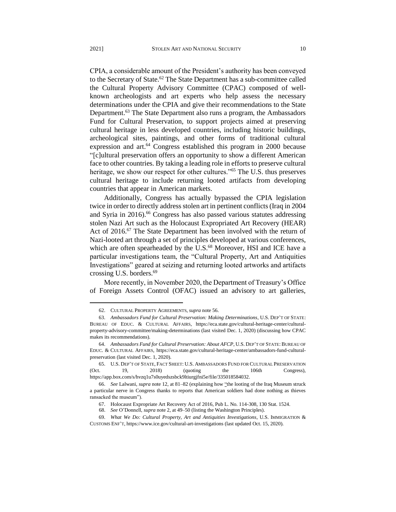CPIA, a considerable amount of the President's authority has been conveyed to the Secretary of State.<sup>62</sup> The State Department has a sub-committee called the Cultural Property Advisory Committee (CPAC) composed of wellknown archeologists and art experts who help assess the necessary determinations under the CPIA and give their recommendations to the State Department.<sup>63</sup> The State Department also runs a program, the Ambassadors Fund for Cultural Preservation, to support projects aimed at preserving cultural heritage in less developed countries, including historic buildings, archeological sites, paintings, and other forms of traditional cultural expression and art. $64$  Congress established this program in 2000 because "[c]ultural preservation offers an opportunity to show a different American face to other countries. By taking a leading role in efforts to preserve cultural heritage, we show our respect for other cultures."<sup>65</sup> The U.S. thus preserves cultural heritage to include returning looted artifacts from developing countries that appear in American markets.

Additionally, Congress has actually bypassed the CPIA legislation twice in order to directly address stolen art in pertinent conflicts (Iraq in 2004 and Syria in 2016).<sup>66</sup> Congress has also passed various statutes addressing stolen Nazi Art such as the Holocaust Expropriated Art Recovery (HEAR) Act of 2016.<sup>67</sup> The State Department has been involved with the return of Nazi-looted art through a set of principles developed at various conferences, which are often spearheaded by the U.S.<sup>68</sup> Moreover, HSI and ICE have a particular investigations team, the "Cultural Property, Art and Antiquities Investigations" geared at seizing and returning looted artworks and artifacts crossing U.S. borders.<sup>69</sup>

More recently, in November 2020, the Department of Treasury's Office of Foreign Assets Control (OFAC) issued an advisory to art galleries,

<sup>62.</sup> CULTURAL PROPERTY AGREEMENTS, *supra* note 56.

<sup>63.</sup> *Ambassadors Fund for Cultural Preservation: Making Determinations*, U.S. DEP'T OF STATE: BUREAU OF EDUC. & CULTURAL AFFAIRS, https://eca.state.gov/cultural-heritage-center/culturalproperty-advisory-committee/making-determinations (last visited Dec. 1, 2020) (discussing how CPAC makes its recommendations).

<sup>64.</sup> *Ambassadors Fund for Cultural Preservation: About AFCP*, U.S. DEP'T OF STATE: BUREAU OF EDUC. & CULTURAL AFFAIRS, https://eca.state.gov/cultural-heritage-center/ambassadors-fund-culturalpreservation (last visited Dec. 1, 2020).

<sup>65.</sup> U.S. DEP'T OF STATE, FACT SHEET: U.S. AMBASSADORS FUND FOR CULTURAL PRESERVATION (Oct. 19, 2018) (quoting the 106th Congress), https://app.box.com/s/hvzq1u7s0uyedszsbck9ltiurgjfni5e/file/335018584032.

<sup>66.</sup> *See* Lalwani, *supra* note 12, at 81–82 (explaining how "the looting of the Iraq Museum struck a particular nerve in Congress thanks to reports that American soldiers had done nothing as thieves ransacked the museum").

<sup>67.</sup> Holocaust Expropriate Art Recovery Act of 2016, Pub L. No. 114-308, 130 Stat. 1524.

 <sup>68.</sup> *See* O'Donnell, *supra* note 2, at 49–50 (listing the Washington Principles).

<sup>69.</sup> *What We Do: Cultural Property, Art and Antiquities Investigations*, U.S. IMMIGRATION & CUSTOMS ENF'T, https://www.ice.gov/cultural-art-investigations (last updated Oct. 15, 2020).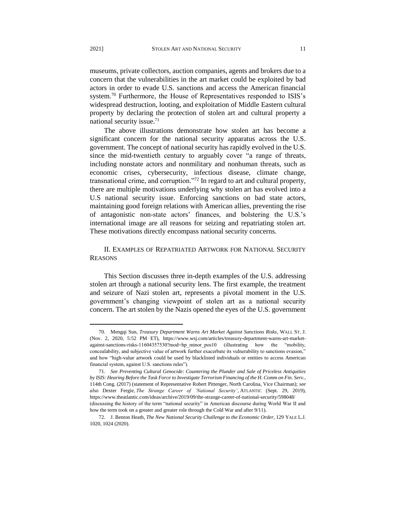museums, private collectors, auction companies, agents and brokers due to a concern that the vulnerabilities in the art market could be exploited by bad actors in order to evade U.S. sanctions and access the American financial system.<sup>70</sup> Furthermore, the House of Representatives responded to ISIS's widespread destruction, looting, and exploitation of Middle Eastern cultural property by declaring the protection of stolen art and cultural property a national security issue.<sup>71</sup>

The above illustrations demonstrate how stolen art has become a significant concern for the national security apparatus across the U.S. government. The concept of national security has rapidly evolved in the U.S. since the mid-twentieth century to arguably cover "a range of threats, including nonstate actors and nonmilitary and nonhuman threats, such as economic crises, cybersecurity, infectious disease, climate change, transnational crime, and corruption."<sup>72</sup> In regard to art and cultural property, there are multiple motivations underlying why stolen art has evolved into a U.S national security issue. Enforcing sanctions on bad state actors, maintaining good foreign relations with American allies, preventing the rise of antagonistic non-state actors' finances, and bolstering the U.S.'s international image are all reasons for seizing and repatriating stolen art. These motivations directly encompass national security concerns.

### II. EXAMPLES OF REPATRIATED ARTWORK FOR NATIONAL SECURITY REASONS

This Section discusses three in-depth examples of the U.S. addressing stolen art through a national security lens. The first example, the treatment and seizure of Nazi stolen art, represents a pivotal moment in the U.S. government's changing viewpoint of stolen art as a national security concern. The art stolen by the Nazis opened the eyes of the U.S. government

<sup>70.</sup> Mengqi Sun, *Treasury Department Warns Art Market Against Sanctions Risks*, WALL ST. J. (Nov. 2, 2020, 5:52 PM ET), https://www.wsj.com/articles/treasury-department-warns-art-marketagainst-sanctions-risks-11604357530?mod=hp\_minor\_pos10 (illustrating how the "mobility, concealability, and subjective value of artwork further exacerbate its vulnerability to sanctions evasion," and how "high-value artwork could be used by blacklisted individuals or entities to access American financial system, against U.S. sanctions rules").

<sup>71.</sup> *See Preventing Cultural Genocide: Countering the Plunder and Sale of Priceless Antiquities by ISIS: Hearing Before the Task Force to Investigate Terrorism Financing of the H. Comm on Fin. Serv.*, 114th Cong. (2017) (statement of Representative Robert Pittenger, North Carolina, Vice Chairman); *see also* Dexter Fergie, *The Strange Career of 'National Security'*, ATLANTIC (Sept. 29, 2019), https://www.theatlantic.com/ideas/archive/2019/09/the-strange-career-of-national-security/598048/ (discussing the history of the term "national security" in American discourse during World War II and

how the term took on a greater and greater role through the Cold War and after 9/11). 72. J. Benton Heath, *The New National Security Challenge to the Economic Order*, 129 YALE L.J. 1020, 1024 (2020).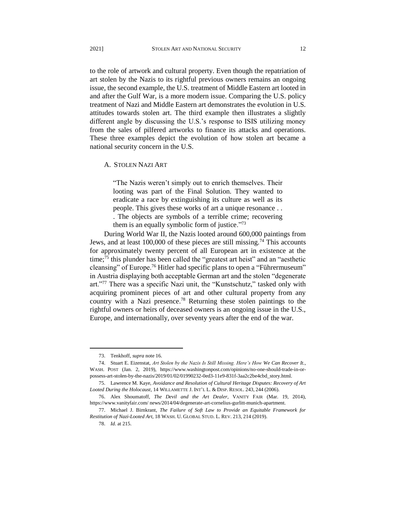to the role of artwork and cultural property. Even though the repatriation of art stolen by the Nazis to its rightful previous owners remains an ongoing issue, the second example, the U.S. treatment of Middle Eastern art looted in and after the Gulf War, is a more modern issue. Comparing the U.S. policy treatment of Nazi and Middle Eastern art demonstrates the evolution in U.S. attitudes towards stolen art. The third example then illustrates a slightly different angle by discussing the U.S.'s response to ISIS utilizing money from the sales of pilfered artworks to finance its attacks and operations. These three examples depict the evolution of how stolen art became a national security concern in the U.S.

#### A. STOLEN NAZI ART

"The Nazis weren't simply out to enrich themselves. Their looting was part of the Final Solution. They wanted to eradicate a race by extinguishing its culture as well as its people. This gives these works of art a unique resonance . . . The objects are symbols of a terrible crime; recovering them is an equally symbolic form of justice."<sup>73</sup>

During World War II, the Nazis looted around 600,000 paintings from Jews, and at least 100,000 of these pieces are still missing.<sup>74</sup> This accounts for approximately twenty percent of all European art in existence at the time;<sup>75</sup> this plunder has been called the "greatest art heist" and an "aesthetic cleansing" of Europe.<sup>76</sup> Hitler had specific plans to open a "Führermuseum" in Austria displaying both acceptable German art and the stolen "degenerate art."<sup>77</sup> There was a specific Nazi unit, the "Kunstschutz," tasked only with acquiring prominent pieces of art and other cultural property from any country with a Nazi presence.<sup>78</sup> Returning these stolen paintings to the rightful owners or heirs of deceased owners is an ongoing issue in the U.S., Europe, and internationally, over seventy years after the end of the war.

<sup>73.</sup> Tenkhoff, *supra* note 16.

<sup>74.</sup> Stuart E. Eizenstat, *Art Stolen by the Nazis Is Still Missing. Here's How We Can Recover It.,* WASH. POST (Jan. 2, 2019), https://www.washingtonpost.com/opinions/no-one-should-trade-in-orpossess-art-stolen-by-the-nazis/2019/01/02/01990232-0ed3-11e9-831f-3aa2c2be4cbd\_story.html.

<sup>75.</sup> Lawrence M. Kaye, *Avoidance and Resolution of Cultural Heritage Disputes: Recovery of Art Looted During the Holocaust*, 14 WILLAMETTE J. INT'L L. & DISP. RESOL. 243, 244 (2006).

<sup>76.</sup> Alex Shoumatoff, *The Devil and the Art Dealer*, VANITY FAIR (Mar. 19, 2014), https://www.vanityfair.com/ news/2014/04/degenerate-art-cornelius-gurlitt-munich-apartment.

<sup>77.</sup> Michael J. Birnkrant*, The Failure of Soft Law to Provide an Equitable Framework for Restitution of Nazi-Looted Art,* 18 WASH. U. GLOBAL STUD. L. REV. 213, 214 (2019).

<sup>78.</sup> *Id.* at 215.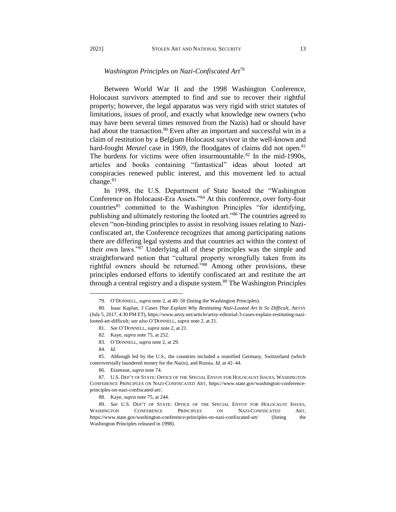#### *Washington Principles on Nazi-Confiscated Art*<sup>79</sup>

Between World War II and the 1998 Washington Conference, Holocaust survivors attempted to find and sue to recover their rightful property; however, the legal apparatus was very rigid with strict statutes of limitations, issues of proof, and exactly what knowledge new owners (who may have been several times removed from the Nazis) had or should have had about the transaction.<sup>80</sup> Even after an important and successful win in a claim of restitution by a Belgium Holocaust survivor in the well-known and hard-fought *Menzel* case in 1969, the floodgates of claims did not open.<sup>81</sup> The burdens for victims were often insurmountable.<sup>82</sup> In the mid-1990s, articles and books containing "fantastical" ideas about looted art conspiracies renewed public interest, and this movement led to actual change.<sup>83</sup>

In 1998, the U.S. Department of State hosted the "Washington Conference on Holocaust-Era Assets."<sup>84</sup> At this conference, over forty-four countries<sup>85</sup> committed to the Washington Principles "for identifying, publishing and ultimately restoring the looted art."<sup>86</sup> The countries agreed to eleven "non-binding principles to assist in resolving issues relating to Naziconfiscated art, the Conference recognizes that among participating nations there are differing legal systems and that countries act within the context of their own laws."<sup>87</sup> Underlying all of these principles was the simple and straightforward notion that "cultural property wrongfully taken from its rightful owners should be returned."88 Among other provisions, these principles endorsed efforts to identify confiscated art and restitute the art through a central registry and a dispute system.<sup>89</sup> The Washington Principles

- 81. *See* O'DONNELL, *supra* note 2, at 21.
- 82. Kaye, *supra* note 75, at 252.
- 83. O'DONNELL, *supra* note 2, at 29.
- 84. *Id.*

l

85. Although led by the U.S., the countries included a reunified Germany, Switzerland (which controversially laundered money for the Nazis), and Russia. *Id.* at 42–44.

86. Eizenstat, *supra* note 74.

<sup>79.</sup> O'DONNELL, *supra* note 2, at 49–50 (listing the Washington Principles).

<sup>80.</sup> Isaac Kaplan, *3 Cases That Explain Why Restituting Nazi-Looted Art Is So Difficult*, ARTSY (July 5, 2017, 4:30 PM ET), https://www.artsy.net/article/artsy-editorial-3-cases-explain-restituting-nazilooted-art-difficult; *see also* O'DONNELL, *supra* note 2, at 21.

<sup>87.</sup> U.S. DEP'T OF STATE: OFFICE OF THE SPECIAL ENVOY FOR HOLOCAUST ISSUES, WASHINGTON CONFERENCE PRINCIPLES ON NAZI-CONFISCATED ART, https://www.state.gov/washington-conferenceprinciples-on-nazi-confiscated-art/.

<sup>88.</sup> Kaye, *supra* note 75, at 244.

<sup>89.</sup> *See* U.S. DEP'T OF STATE: OFFICE OF THE SPECIAL ENVOY FOR HOLOCAUST ISSUES, WASHINGTON CONFERENCE PRINCIPLES ON NAZI-CONFISCATED ART, https://www.state.gov/washington-conference-principles-on-nazi-confiscated-art/ (listing the Washington Principles released in 1998).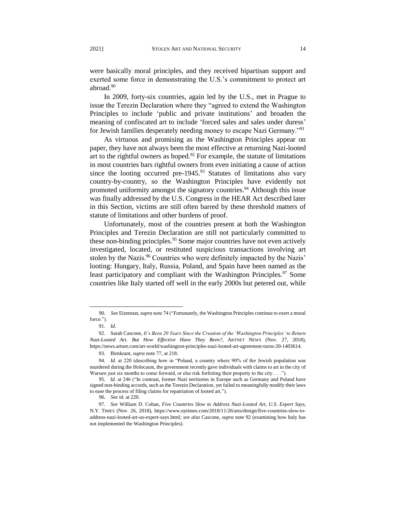were basically moral principles, and they received bipartisan support and exerted some force in demonstrating the U.S.'s commitment to protect art abroad.<sup>90</sup>

In 2009, forty-six countries, again led by the U.S., met in Prague to issue the Terezin Declaration where they "agreed to extend the Washington Principles to include 'public and private institutions' and broaden the meaning of confiscated art to include 'forced sales and sales under duress' for Jewish families desperately needing money to escape Nazi Germany."<sup>91</sup>

As virtuous and promising as the Washington Principles appear on paper, they have not always been the most effective at returning Nazi-looted art to the rightful owners as hoped.<sup>92</sup> For example, the statute of limitations in most countries bars rightful owners from even initiating a cause of action since the looting occurred pre-1945. $93$  Statutes of limitations also vary country-by-country, so the Washington Principles have evidently not promoted uniformity amongst the signatory countries.<sup>94</sup> Although this issue was finally addressed by the U.S. Congress in the HEAR Act described later in this Section, victims are still often barred by these threshold matters of statute of limitations and other burdens of proof.

Unfortunately, most of the countries present at both the Washington Principles and Terezin Declaration are still not particularly committed to these non-binding principles.<sup>95</sup> Some major countries have not even actively investigated, located, or restituted suspicious transactions involving art stolen by the Nazis.<sup>96</sup> Countries who were definitely impacted by the Nazis' looting: Hungary, Italy, Russia, Poland, and Spain have been named as the least participatory and compliant with the Washington Principles.<sup>97</sup> Some countries like Italy started off well in the early 2000s but petered out, while

 <sup>90.</sup> *See* Eizenstat, *supra* note 74 ("Fortunately, the Washington Principles continue to exert a moral force.").

<sup>91.</sup> *Id.*

<sup>92.</sup> Sarah Cascone, *It's Been 20 Years Since the Creation of the 'Washington Principles' to Return Nazi-Looted Art. But How Effective Have They Been?*, ARTNET NEWS (Nov. 27, 2018), https://news.artnet.com/art-world/washington-principles-nazi-looted-art-agreement-turns-20-1403614.

<sup>93.</sup> Birnkrant*, supra* note 77, at 218.

<sup>94.</sup> *Id.* at 220 (describing how in "Poland, a country where 90% of the Jewish population was murdered during the Holocaust, the government recently gave individuals with claims to art in the city of Warsaw just six months to come forward, or else risk forfeiting their property to the city. . . .").

 <sup>95.</sup> *Id.* at 246 ("In contrast, former Nazi territories in Europe such as Germany and Poland have signed non-binding accords, such as the Terezin Declaration, yet failed to meaningfully modify their laws to ease the process of filing claims for repatriation of looted art.").

 <sup>96.</sup> *See id.* at 220.

<sup>97.</sup> *See* William D. Cohan, *Five Countries Slow to Address Nazi-Looted Art, U.S. Expert Says*, N.Y. TIMES (Nov. 26, 2018), https://www.nytimes.com/2018/11/26/arts/design/five-countries-slow-toaddress-nazi-looted-art-us-expert-says.html*; see also* Cascone, *supra* note 92 (examining how Italy has not implemented the Washington Principles).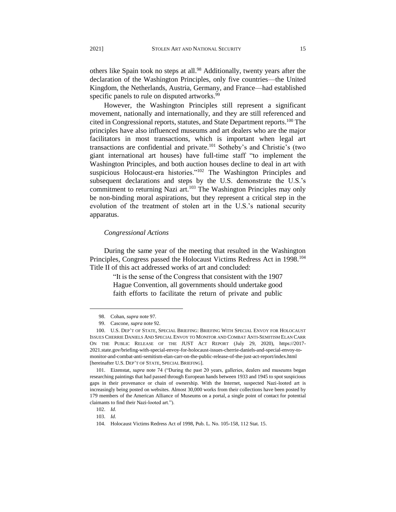others like Spain took no steps at all.<sup>98</sup> Additionally, twenty years after the declaration of the Washington Principles, only five countries—the United Kingdom, the Netherlands, Austria, Germany, and France—had established specific panels to rule on disputed artworks.<sup>99</sup>

However, the Washington Principles still represent a significant movement, nationally and internationally, and they are still referenced and cited in Congressional reports, statutes, and State Department reports.<sup>100</sup> The principles have also influenced museums and art dealers who are the major facilitators in most transactions, which is important when legal art transactions are confidential and private.<sup>101</sup> Sotheby's and Christie's (two giant international art houses) have full-time staff "to implement the Washington Principles, and both auction houses decline to deal in art with suspicious Holocaust-era histories."<sup>102</sup> The Washington Principles and subsequent declarations and steps by the U.S. demonstrate the U.S.'s commitment to returning Nazi art.<sup>103</sup> The Washington Principles may only be non-binding moral aspirations, but they represent a critical step in the evolution of the treatment of stolen art in the U.S.'s national security apparatus.

#### *Congressional Actions*

During the same year of the meeting that resulted in the Washington Principles, Congress passed the Holocaust Victims Redress Act in 1998.<sup>104</sup> Title II of this act addressed works of art and concluded:

> "It is the sense of the Congress that consistent with the 1907 Hague Convention, all governments should undertake good faith efforts to facilitate the return of private and public

<sup>98.</sup> Cohan, *supra* note 97*.*

<sup>99.</sup> Cascone, *supra* note 92.

<sup>100.</sup> U.S. DEP'T OF STATE, SPECIAL BRIEFING: BRIEFING WITH SPECIAL ENVOY FOR HOLOCAUST ISSUES CHERRIE DANIELS AND SPECIAL ENVOY TO MONITOR AND COMBAT ANTI-SEMITISM ELAN CARR ON THE PUBLIC RELEASE OF THE JUST ACT REPORT (July 29, 2020), https://2017- 2021.state.gov/briefing-with-special-envoy-for-holocaust-issues-cherrie-daniels-and-special-envoy-tomonitor-and-combat-anti-semitism-elan-carr-on-the-public-release-of-the-just-act-report/index.html [hereinafter U.S. DEP'T OF STATE, SPECIAL BRIEFING].

<sup>101.</sup> Eizenstat, *supra* note 74 ("During the past 20 years, galleries, dealers and museums began researching paintings that had passed through European hands between 1933 and 1945 to spot suspicious gaps in their provenance or chain of ownership. With the Internet, suspected Nazi-looted art is increasingly being posted on websites. Almost 30,000 works from their collections have been posted by 179 members of the American Alliance of Museums on a portal, a single point of contact for potential claimants to find their Nazi-looted art.").

<sup>102.</sup> *Id.*

<sup>103.</sup> *Id.*

<sup>104.</sup> Holocaust Victims Redress Act of 1998, Pub. L. No. 105-158, 112 Stat. 15.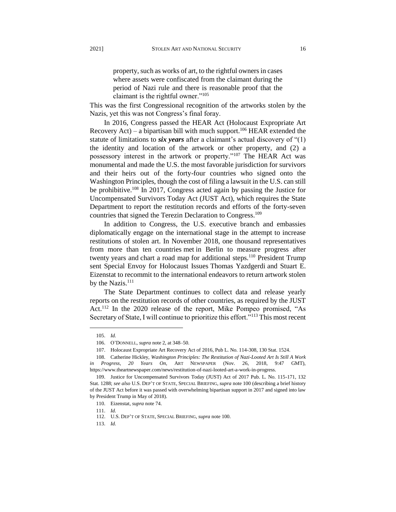property, such as works of art, to the rightful owners in cases where assets were confiscated from the claimant during the period of Nazi rule and there is reasonable proof that the claimant is the rightful owner."<sup>105</sup>

This was the first Congressional recognition of the artworks stolen by the Nazis, yet this was not Congress's final foray.

In 2016, Congress passed the HEAR Act (Holocaust Expropriate Art Recovery Act) – a bipartisan bill with much support.<sup>106</sup> HEAR extended the statute of limitations to *six years* after a claimant's actual discovery of "(1) the identity and location of the artwork or other property, and (2) a possessory interest in the artwork or property."<sup>107</sup> The HEAR Act was monumental and made the U.S. the most favorable jurisdiction for survivors and their heirs out of the forty-four countries who signed onto the Washington Principles, though the cost of filing a lawsuit in the U.S. can still be prohibitive.<sup>108</sup> In 2017, Congress acted again by passing the Justice for Uncompensated Survivors Today Act (JUST Act), which requires the State Department to report the restitution records and efforts of the forty-seven countries that signed the Terezin Declaration to Congress.<sup>109</sup>

In addition to Congress, the U.S. executive branch and embassies diplomatically engage on the international stage in the attempt to increase restitutions of stolen art. In November 2018, one thousand representatives from more than ten countries met in Berlin to measure progress after twenty years and chart a road map for additional steps.<sup>110</sup> President Trump sent Special Envoy for Holocaust Issues Thomas Yazdgerdi and Stuart E. Eizenstat to recommit to the international endeavors to return artwork stolen by the Nazis.<sup>111</sup>

The State Department continues to collect data and release yearly reports on the restitution records of other countries, as required by the JUST Act.<sup>112</sup> In the 2020 release of the report, Mike Pompeo promised, "As Secretary of State, I will continue to prioritize this effort."<sup>113</sup> This most recent

<sup>105.</sup> *Id.*

<sup>106.</sup> O'DONNELL, *supra* note 2, at 348–50.

<sup>107.</sup> Holocaust Expropriate Art Recovery Act of 2016, Pub L. No. 114-308, 130 Stat. 1524.

<sup>108.</sup> Catherine Hickley, *Washington Principles: The Restitution of Nazi-Looted Art Is Still A Work in Progress, 20 Years On*, ART NEWSPAPER (Nov. 26, 2018, 9:47 GMT), https://www.theartnewspaper.com/news/restitution-of-nazi-looted-art-a-work-in-progress.

<sup>109.</sup> Justice for Uncompensated Survivors Today (JUST) Act of 2017 Pub. L. No. 115-171, 132 Stat. 1288; *see also* U.S. DEP'T OF STATE, SPECIAL BRIEFING, *supra* note 100 (describing a brief history of the JUST Act before it was passed with overwhelming bipartisan support in 2017 and signed into law by President Trump in May of 2018).

<sup>110.</sup> Eizenstat, *supra* note 74.

<sup>111.</sup> *Id.*

 <sup>112.</sup> U.S. DEP'T OF STATE, SPECIAL BRIEFING, *supra* note 100.

<sup>113.</sup> *Id.*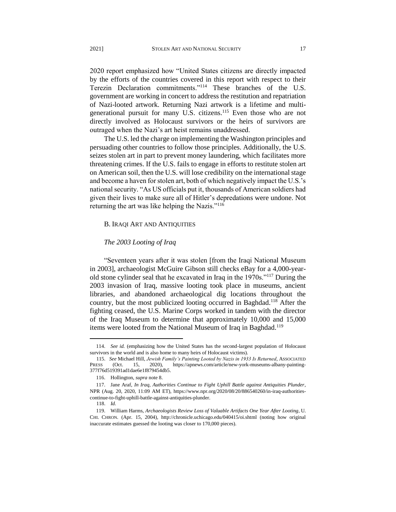2020 report emphasized how "United States citizens are directly impacted by the efforts of the countries covered in this report with respect to their Terezin Declaration commitments."<sup>114</sup> These branches of the U.S. government are working in concert to address the restitution and repatriation of Nazi-looted artwork. Returning Nazi artwork is a lifetime and multigenerational pursuit for many U.S. citizens.<sup>115</sup> Even those who are not directly involved as Holocaust survivors or the heirs of survivors are outraged when the Nazi's art heist remains unaddressed.

The U.S. led the charge on implementing the Washington principles and persuading other countries to follow those principles. Additionally, the U.S. seizes stolen art in part to prevent money laundering, which facilitates more threatening crimes. If the U.S. fails to engage in efforts to restitute stolen art on American soil, then the U.S. will lose credibility on the international stage and become a haven for stolen art, both of which negatively impact the U.S.'s national security. "As US officials put it, thousands of American soldiers had given their lives to make sure all of Hitler's depredations were undone. Not returning the art was like helping the Nazis."<sup>116</sup>

#### B. IRAQI ART AND ANTIQUITIES

#### *The 2003 Looting of Iraq*

"Seventeen years after it was stolen [from the Iraqi National Museum in 2003], archaeologist McGuire Gibson still checks eBay for a 4,000-yearold stone cylinder seal that he excavated in Iraq in the 1970s."<sup>117</sup> During the 2003 invasion of Iraq, massive looting took place in museums, ancient libraries, and abandoned archaeological dig locations throughout the country, but the most publicized looting occurred in Baghdad.<sup>118</sup> After the fighting ceased, the U.S. Marine Corps worked in tandem with the director of the Iraq Museum to determine that approximately 10,000 and 15,000 items were looted from the National Museum of Iraq in Baghdad.<sup>119</sup>

<sup>114.</sup> *See id.* (emphasizing how the United States has the second-largest population of Holocaust survivors in the world and is also home to many heirs of Holocaust victims).

 <sup>115.</sup> *See* Michael Hill, *Jewish Family's Painting Looted by Nazis in 1933 Is Returned*, ASSOCIATED PRESS (Oct. 15, 2020), https://apnews.com/article/new-york-museums-albany-painting-377f76d519391ad1dae6e1f879454db5.

<sup>116.</sup> Hollington, *supra* note 8.

<sup>117.</sup> Jane Araf, *In Iraq, Authorities Continue to Fight Uphill Battle against Antiquities Plunder*, NPR (Aug. 20, 2020, 11:09 AM ET), https://www.npr.org/2020/08/20/886540260/in-iraq-authoritiescontinue-to-fight-uphill-battle-against-antiquities-plunder.

 <sup>118.</sup> *Id.* 

<sup>119.</sup> William Harms, *Archaeologists Review Loss of Valuable Artifacts One Year After Looting*, U. CHI. CHRON. (Apr. 15, 2004), http://chronicle.uchicago.edu/040415/oi.shtml (noting how original inaccurate estimates guessed the looting was closer to 170,000 pieces).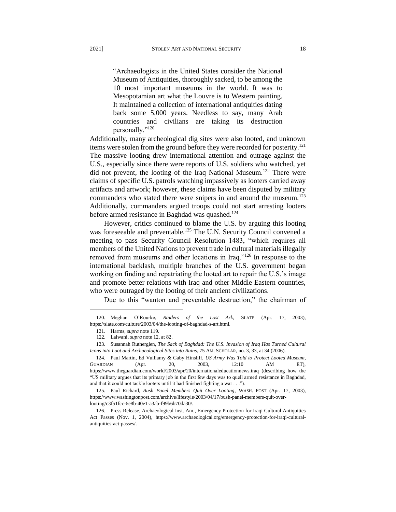"Archaeologists in the United States consider the National Museum of Antiquities, thoroughly sacked, to be among the 10 most important museums in the world. It was to Mesopotamian art what the Louvre is to Western painting. It maintained a collection of international antiquities dating back some 5,000 years. Needless to say, many Arab countries and civilians are taking its destruction personally."<sup>120</sup>

Additionally, many archeological dig sites were also looted, and unknown items were stolen from the ground before they were recorded for posterity.<sup>121</sup> The massive looting drew international attention and outrage against the U.S., especially since there were reports of U.S. soldiers who watched, yet did not prevent, the looting of the Iraq National Museum.<sup>122</sup> There were claims of specific U.S. patrols watching impassively as looters carried away artifacts and artwork; however, these claims have been disputed by military commanders who stated there were snipers in and around the museum.<sup>123</sup> Additionally, commanders argued troops could not start arresting looters before armed resistance in Baghdad was quashed.<sup>124</sup>

However, critics continued to blame the U.S. by arguing this looting was foreseeable and preventable.<sup>125</sup> The U.N. Security Council convened a meeting to pass Security Council Resolution 1483, "which requires all members of the United Nations to prevent trade in cultural materials illegally removed from museums and other locations in Iraq."<sup>126</sup> In response to the international backlash, multiple branches of the U.S. government began working on finding and repatriating the looted art to repair the U.S.'s image and promote better relations with Iraq and other Middle Eastern countries, who were outraged by the looting of their ancient civilizations.

Due to this "wanton and preventable destruction," the chairman of

<sup>120.</sup> Meghan O'Rourke, *Raiders of the Lost Ark*, SLATE (Apr. 17, 2003), https://slate.com/culture/2003/04/the-looting-of-baghdad-s-art.html.

<sup>121.</sup> Harms, *supra* note 119.

 <sup>122.</sup> Lalwani, *supra* note 12, at 82.

<sup>123.</sup> Susannah Rutherglen, *The Sack of Baghdad: The U.S. Invasion of Iraq Has Turned Cultural Icons into Loot and Archaeological Sites into Ruins*, 75 AM. SCHOLAR, no. 3, 33, at 34 (2006).

<sup>124.</sup> Paul Martin, Ed Vulliamy & Gaby Hinsliff, *US Army Was Told to Protect Looted Museum*, GUARDIAN (Apr. 20, 2003, 12:10 AM ET), https://www.theguardian.com/world/2003/apr/20/internationaleducationnews.iraq (describing how the "US military argues that its primary job in the first few days was to quell armed resistance in Baghdad, and that it could not tackle looters until it had finished fighting a war . . .").

<sup>125.</sup> Paul Richard, *Bush Panel Members Quit Over Looting*, WASH. POST (Apr. 17, 2003), https://www.washingtonpost.com/archive/lifestyle/2003/04/17/bush-panel-members-quit-overlooting/c3f51fcc-6e8b-40e1-a3ab-f99b6b70da30/.

<sup>126.</sup> Press Release, Archaeological Inst. Am., Emergency Protection for Iraqi Cultural Antiquities Act Passes (Nov. 1, 2004), https://www.archaeological.org/emergency-protection-for-iraqi-culturalantiquities-act-passes/.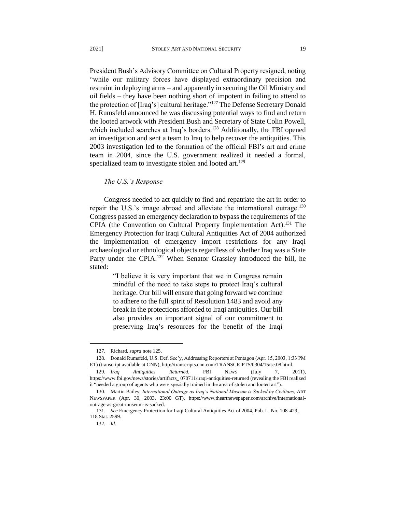President Bush's Advisory Committee on Cultural Property resigned, noting "while our military forces have displayed extraordinary precision and restraint in deploying arms – and apparently in securing the Oil Ministry and oil fields – they have been nothing short of impotent in failing to attend to the protection of [Iraq's] cultural heritage."<sup>127</sup> The Defense Secretary Donald H. Rumsfeld announced he was discussing potential ways to find and return the looted artwork with President Bush and Secretary of State Colin Powell, which included searches at Iraq's borders.<sup>128</sup> Additionally, the FBI opened an investigation and sent a team to Iraq to help recover the antiquities. This 2003 investigation led to the formation of the official FBI's art and crime team in 2004, since the U.S. government realized it needed a formal, specialized team to investigate stolen and looted art.<sup>129</sup>

#### *The U.S.'s Response*

Congress needed to act quickly to find and repatriate the art in order to repair the U.S.'s image abroad and alleviate the international outrage.<sup>130</sup> Congress passed an emergency declaration to bypass the requirements of the CPIA (the Convention on Cultural Property Implementation Act).<sup>131</sup> The Emergency Protection for Iraqi Cultural Antiquities Act of 2004 authorized the implementation of emergency import restrictions for any Iraqi archaeological or ethnological objects regardless of whether Iraq was a State Party under the CPIA.<sup>132</sup> When Senator Grassley introduced the bill, he stated:

> "I believe it is very important that we in Congress remain mindful of the need to take steps to protect Iraq's cultural heritage. Our bill will ensure that going forward we continue to adhere to the full spirit of Resolution 1483 and avoid any break in the protections afforded to Iraqi antiquities. Our bill also provides an important signal of our commitment to preserving Iraq's resources for the benefit of the Iraqi

<sup>127.</sup> Richard, *supra* note 125.

<sup>128.</sup> Donald Rumsfeld, U.S. Def. Sec'y, Addressing Reporters at Pentagon (Apr. 15, 2003, 1:33 PM ET) (transcript available at CNN), http://transcripts.cnn.com/TRANSCRIPTS/0304/15/se.08.html.

<sup>129.</sup> *Iraq Antiquities Returned*, FBI NEWS (July 7, 2011), https://www.fbi.gov/news/stories/artifacts\_ 070711/iraqi-antiquities-returned (revealing the FBI realized it "needed a group of agents who were specially trained in the area of stolen and looted art").

<sup>130.</sup> Martin Bailey, *International Outrage as Iraq's National Museum is Sacked by Civilians*, ART NEWSPAPER (Apr. 30, 2003, 23:00 GT), https://www.theartnewspaper.com/archive/internationaloutrage-as-great-museum-is-sacked.

 <sup>131.</sup> *See* Emergency Protection for Iraqi Cultural Antiquities Act of 2004, Pub. L. No. 108-429, 118 Stat. 2599.

<sup>132.</sup> *Id.*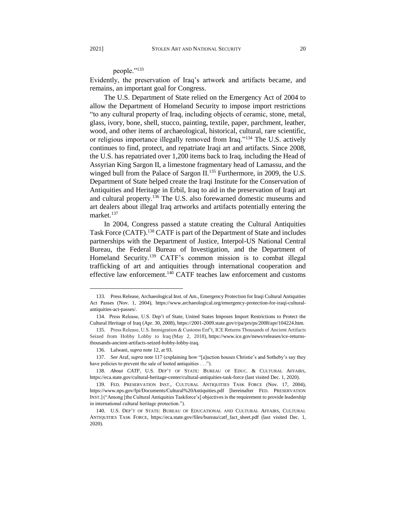## people."<sup>133</sup>

Evidently, the preservation of Iraq's artwork and artifacts became, and remains, an important goal for Congress.

The U.S. Department of State relied on the Emergency Act of 2004 to allow the Department of Homeland Security to impose import restrictions "to any cultural property of Iraq, including objects of ceramic, stone, metal, glass, ivory, bone, shell, stucco, painting, textile, paper, parchment, leather, wood, and other items of archaeological, historical, cultural, rare scientific, or religious importance illegally removed from Iraq."<sup>134</sup> The U.S. actively continues to find, protect, and repatriate Iraqi art and artifacts. Since 2008, the U.S. has repatriated over 1,200 items back to Iraq, including the Head of Assyrian King Sargon II, a limestone fragmentary head of Lamassu, and the winged bull from the Palace of Sargon II.<sup>135</sup> Furthermore, in 2009, the U.S. Department of State helped create the Iraqi Institute for the Conservation of Antiquities and Heritage in Erbil, Iraq to aid in the preservation of Iraqi art and cultural property.<sup>136</sup> The U.S. also forewarned domestic museums and art dealers about illegal Iraq artworks and artifacts potentially entering the market.<sup>137</sup>

In 2004, Congress passed a statute creating the Cultural Antiquities Task Force (CATF).<sup>138</sup> CATF is part of the Department of State and includes partnerships with the Department of Justice, Interpol-US National Central Bureau, the Federal Bureau of Investigation, and the Department of Homeland Security.<sup>139</sup> CATF's common mission is to combat illegal trafficking of art and antiquities through international cooperation and effective law enforcement. $140$  CATF teaches law enforcement and customs

<sup>133.</sup> Press Release, Archaeological Inst. of Am., Emergency Protection for Iraqi Cultural Antiquities Act Passes (Nov. 1, 2004), https://www.archaeological.org/emergency-protection-for-iraqi-culturalantiquities-act-passes/.

<sup>134.</sup> Press Release, U.S. Dep't of State, United States Imposes Import Restrictions to Protect the Cultural Heritage of Iraq (Apr. 30, 2008), https://2001-2009.state.gov/r/pa/prs/ps/2008/apr/104224.htm.

<sup>135.</sup> Press Release, U.S. Immigration & Customs Enf't, ICE Returns Thousands of Ancient Artifacts Seized from Hobby Lobby to Iraq (May 2, 2018), https://www.ice.gov/news/releases/ice-returnsthousands-ancient-artifacts-seized-hobby-lobby-iraq.

<sup>136.</sup> Lalwani, *supra* note 12, at 93.

<sup>137.</sup> *See* Araf, *supra* note 117 (explaining how "[a]uction houses Christie's and Sotheby's say they have policies to prevent the sale of looted antiquities . . .").

<sup>138.</sup> *About CATF*, U.S. DEP'T OF STATE: BUREAU OF EDUC. & CULTURAL AFFAIRS, https://eca.state.gov/cultural-heritage-center/cultural-antiquities-task-force (last visited Dec. 1, 2020).

<sup>139.</sup> FED. PRESERVATION INST., CULTURAL ANTIQUITIES TASK FORCE (Nov. 17, 2004), https://www.nps.gov/fpi/Documents/Cultural%20Antiquities.pdf [hereinafter FED. PRESERVATION INST.] ("Among [the Cultural Antiquities Taskforce's] objectives is the requirement to provide leadership in international cultural heritage protection.").

<sup>140.</sup> U.S. DEP'T OF STATE: BUREAU OF EDUCATIONAL AND CULTURAL AFFAIRS, CULTURAL ANTIQUITIES TASK FORCE, https://eca.state.gov/files/bureau/catf\_fact\_sheet.pdf (last visited Dec. 1, 2020).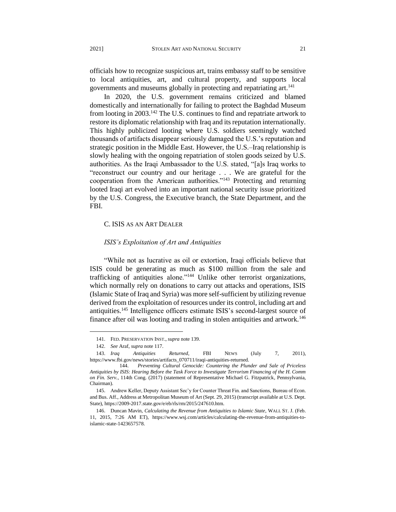officials how to recognize suspicious art, trains embassy staff to be sensitive to local antiquities, art, and cultural property, and supports local governments and museums globally in protecting and repatriating art.<sup>141</sup>

In 2020, the U.S. government remains criticized and blamed domestically and internationally for failing to protect the Baghdad Museum from looting in 2003.<sup>142</sup> The U.S. continues to find and repatriate artwork to restore its diplomatic relationship with Iraq and its reputation internationally. This highly publicized looting where U.S. soldiers seemingly watched thousands of artifacts disappear seriously damaged the U.S.'s reputation and strategic position in the Middle East. However, the U.S.–Iraq relationship is slowly healing with the ongoing repatriation of stolen goods seized by U.S. authorities. As the Iraqi Ambassador to the U.S. stated, "[a]s Iraq works to "reconstruct our country and our heritage . . . We are grateful for the cooperation from the American authorities."<sup>143</sup> Protecting and returning looted Iraqi art evolved into an important national security issue prioritized by the U.S. Congress, the Executive branch, the State Department, and the FBI.

#### C. ISIS AS AN ART DEALER

#### *ISIS's Exploitation of Art and Antiquities*

"While not as lucrative as oil or extortion, Iraqi officials believe that ISIS could be generating as much as \$100 million from the sale and trafficking of antiquities alone."<sup>144</sup> Unlike other terrorist organizations, which normally rely on donations to carry out attacks and operations, ISIS (Islamic State of Iraq and Syria) was more self-sufficient by utilizing revenue derived from the exploitation of resources under its control, including art and antiquities.<sup>145</sup> Intelligence officers estimate ISIS's second-largest source of finance after oil was looting and trading in stolen antiquities and artwork.<sup>146</sup>

<sup>141.</sup> FED. PRESERVATION INST., *supra* note 139.

<sup>142.</sup> *See* Araf, *supra* note 117.

<sup>143.</sup> *Iraq Antiquities Returned*, FBI NEWS (July 7, 2011), https://www.fbi.gov/news/stories/artifacts\_070711/iraqi-antiquities-returned.

 <sup>144.</sup> *Preventing Cultural Genocide: Countering the Plunder and Sale of Priceless Antiquities by ISIS: Hearing Before the Task Force to Investigate Terrorism Financing of the H. Comm on Fin. Serv.*, 114th Cong. (2017) (statement of Representative Michael G. Fitzpatrick, Pennsylvania, Chairman).

<sup>145.</sup> Andrew Keller, Deputy Assistant Sec'y for Counter Threat Fin. and Sanctions, Bureau of Econ. and Bus. Aff., Address at Metropolitan Museum of Art (Sept. 29, 2015) (transcript available at U.S. Dept. State), https://2009-2017.state.gov/e/eb/rls/rm/2015/247610.htm.

<sup>146.</sup> Duncan Mavin, *Calculating the Revenue from Antiquities to Islamic State*, WALL ST. J. (Feb. 11, 2015, 7:26 AM ET), https://www.wsj.com/articles/calculating-the-revenue-from-antiquities-toislamic-state-1423657578.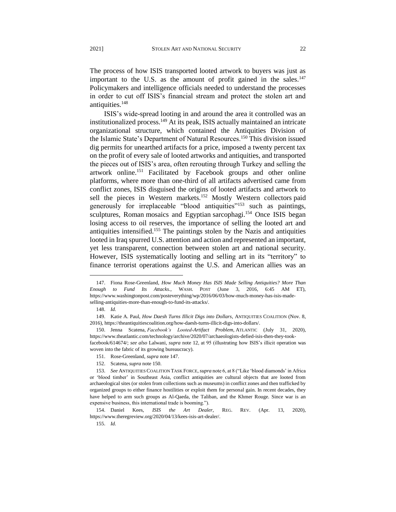The process of how ISIS transported looted artwork to buyers was just as important to the U.S. as the amount of profit gained in the sales. $147$ Policymakers and intelligence officials needed to understand the processes in order to cut off ISIS's financial stream and protect the stolen art and antiquities.<sup>148</sup>

ISIS's wide-spread looting in and around the area it controlled was an institutionalized process.<sup>149</sup> At its peak, ISIS actually maintained an intricate organizational structure, which contained the Antiquities Division of the Islamic State's Department of Natural Resources.<sup>150</sup> This division issued dig permits for unearthed artifacts for a price, imposed a twenty percent tax on the profit of every sale of looted artworks and antiquities, and transported the pieces out of ISIS's area, often rerouting through Turkey and selling the artwork online.<sup>151</sup> Facilitated by Facebook groups and other online platforms, where more than one-third of all artifacts advertised came from conflict zones, ISIS disguised the origins of looted artifacts and artwork to sell the pieces in Western markets.<sup>152</sup> Mostly Western collectors paid generously for irreplaceable "blood antiquities"<sup>153</sup> such as paintings, sculptures, Roman mosaics and Egyptian sarcophagi.<sup>154</sup> Once ISIS began losing access to oil reserves, the importance of selling the looted art and antiquities intensified.<sup>155</sup> The paintings stolen by the Nazis and antiquities looted in Iraq spurred U.S. attention and action and represented an important, yet less transparent, connection between stolen art and national security. However, ISIS systematically looting and selling art in its "territory" to finance terrorist operations against the U.S. and American allies was an

l

154. Daniel Kees, *ISIS the Art Dealer*, REG. REV. (Apr. 13, 2020), https://www.theregreview.org/2020/04/13/kees-isis-art-dealer/.

<sup>147.</sup> Fiona Rose-Greenland, *How Much Money Has ISIS Made Selling Antiquities? More Than Enough to Fund Its Attacks.*, WASH. POST (June 3, 2016, 6:45 AM ET), https://www.washingtonpost.com/posteverything/wp/2016/06/03/how-much-money-has-isis-madeselling-antiquities-more-than-enough-to-fund-its-attacks/.

<sup>148.</sup> *Id.*

<sup>149.</sup> Katie A. Paul, *How Daesh Turns Illicit Digs into Dollars*, ANTIQUITIES COALITION (Nov. 8, 2016), https://theantiquitiescoalition.org/how-daesh-turns-illicit-digs-into-dollars/.

<sup>150.</sup> Jenna Scatena, *Facebook's Looted-Artifact Problem*, ATLANTIC (July 31, 2020), https://www.theatlantic.com/technology/archive/2020/07/archaeologists-defied-isis-then-they-tookfacebook/614674/; *see also* Lalwani, *supra* note 12, at 95 (illustrating how ISIS's illicit operation was woven into the fabric of its growing bureaucracy).

<sup>151.</sup> Rose-Greenland, *supra* note 147.

<sup>152.</sup> Scatena, *supra* note 150.

<sup>153.</sup> *See* ANTIQUITIES COALITION TASK FORCE, *supra* note 6, at 8 ("Like 'blood diamonds' in Africa or 'blood timber' in Southeast Asia, conflict antiquities are cultural objects that are looted from archaeological sites (or stolen from collections such as museums) in conflict zones and then trafficked by organized groups to either finance hostilities or exploit them for personal gain. In recent decades, they have helped to arm such groups as Al-Qaeda, the Taliban, and the Khmer Rouge. Since war is an expensive business, this international trade is booming.").

<sup>155.</sup> *Id.*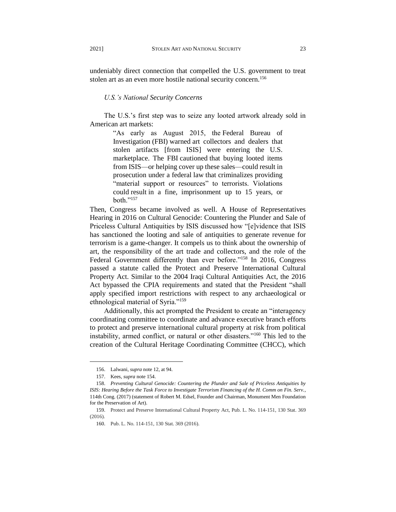undeniably direct connection that compelled the U.S. government to treat stolen art as an even more hostile national security concern.<sup>156</sup>

*U.S.'s National Security Concerns*

The U.S.'s first step was to seize any looted artwork already sold in American art markets:

> "As early as August 2015, the Federal Bureau of Investigation (FBI) warned art collectors and dealers that stolen artifacts [from ISIS] were entering the U.S. marketplace. The FBI cautioned that buying looted items from ISIS—or helping cover up these sales—could result in prosecution under a federal law that criminalizes providing "material support or resources" to terrorists. Violations could result in a fine, imprisonment up to 15 years, or both."<sup>157</sup>

Then, Congress became involved as well. A House of Representatives Hearing in 2016 on Cultural Genocide: Countering the Plunder and Sale of Priceless Cultural Antiquities by ISIS discussed how "[e]vidence that ISIS has sanctioned the looting and sale of antiquities to generate revenue for terrorism is a game-changer. It compels us to think about the ownership of art, the responsibility of the art trade and collectors, and the role of the Federal Government differently than ever before."<sup>158</sup> In 2016, Congress passed a statute called the Protect and Preserve International Cultural Property Act. Similar to the 2004 Iraqi Cultural Antiquities Act, the 2016 Act bypassed the CPIA requirements and stated that the President "shall apply specified import restrictions with respect to any archaeological or ethnological material of Syria."<sup>159</sup>

Additionally, this act prompted the President to create an "interagency coordinating committee to coordinate and advance executive branch efforts to protect and preserve international cultural property at risk from political instability, armed conflict, or natural or other disasters."<sup>160</sup> This led to the creation of the Cultural Heritage Coordinating Committee (CHCC), which

<sup>156.</sup> Lalwani, *supra* note 12, at 94.

<sup>157.</sup> Kees, *supra* note 154.

<sup>158.</sup> *Preventing Cultural Genocide: Countering the Plunder and Sale of Priceless Antiquities by ISIS: Hearing Before the Task Force to Investigate Terrorism Financing of the H. Comm on Fin. Serv.*, 114th Cong. (2017) (statement of Robert M. Edsel, Founder and Chairman, Monument Men Foundation for the Preservation of Art).

<sup>159.</sup> Protect and Preserve International Cultural Property Act, Pub. L. No. 114-151, 130 Stat. 369 (2016).

 <sup>160.</sup> Pub. L. No. 114-151, 130 Stat. 369 (2016).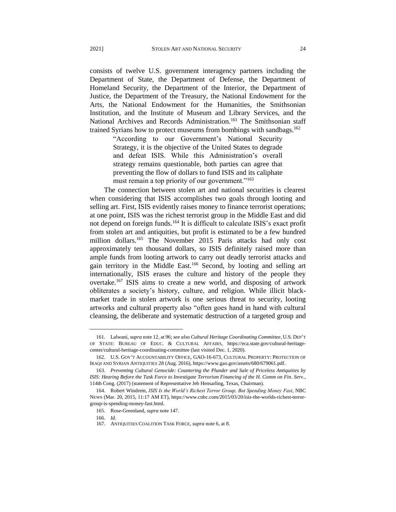consists of twelve U.S. government interagency partners including the Department of State, the Department of Defense, the Department of Homeland Security, the Department of the Interior, the Department of Justice, the Department of the Treasury, the National Endowment for the Arts, the National Endowment for the Humanities, the Smithsonian Institution, and the Institute of Museum and Library Services, and the National Archives and Records Administration.<sup>161</sup> The Smithsonian staff trained Syrians how to protect museums from bombings with sandbags.<sup>162</sup>

> "According to our Government's National Security Strategy, it is the objective of the United States to degrade and defeat ISIS. While this Administration's overall strategy remains questionable, both parties can agree that preventing the flow of dollars to fund ISIS and its caliphate must remain a top priority of our government."<sup>163</sup>

The connection between stolen art and national securities is clearest when considering that ISIS accomplishes two goals through looting and selling art. First, ISIS evidently raises money to finance terrorist operations; at one point, ISIS was the richest terrorist group in the Middle East and did not depend on foreign funds.<sup>164</sup> It is difficult to calculate ISIS's exact profit from stolen art and antiquities, but profit is estimated to be a few hundred million dollars.<sup>165</sup> The November 2015 Paris attacks had only cost approximately ten thousand dollars, so ISIS definitely raised more than ample funds from looting artwork to carry out deadly terrorist attacks and gain territory in the Middle East.<sup>166</sup> Second, by looting and selling art internationally, ISIS erases the culture and history of the people they overtake.<sup>167</sup> ISIS aims to create a new world, and disposing of artwork obliterates a society's history, culture, and religion. While illicit blackmarket trade in stolen artwork is one serious threat to security, looting artworks and cultural property also "often goes hand in hand with cultural cleansing, the deliberate and systematic destruction of a targeted group and

<sup>161.</sup> Lalwani, *supra* note 12, at 96; *see also Cultural Heritage Coordinating Committee*, U.S. DEP'T OF STATE: BUREAU OF EDUC. & CULTURAL AFFAIRS, https://eca.state.gov/cultural-heritagecenter/cultural-heritage-coordinating-committee (last visited Dec. 1, 2020).

<sup>162.</sup> U.S. GOV'T ACCOUNTABILITY OFFICE, GAO-16-673, CULTURAL PROPERTY: PROTECTION OF IRAQI AND SYRIAN ANTIQUITIES 28 (Aug. 2016), https://www.gao.gov/assets/680/679061.pdf.

<sup>163.</sup> *Preventing Cultural Genocide: Countering the Plunder and Sale of Priceless Antiquities by ISIS: Hearing Before the Task Force to Investigate Terrorism Financing of the H. Comm on Fin. Serv.*, 114th Cong. (2017) (statement of Representative Jeb Hensarling, Texas, Chairman).

<sup>164.</sup> Robert Windrem, *ISIS Is the World's Richest Terror Group, But Spending Money Fast*, NBC NEWS (Mar. 20, 2015, 11:17 AM ET), https://www.cnbc.com/2015/03/20/isis-the-worlds-richest-terrorgroup-is-spending-money-fast.html.

<sup>165.</sup> Rose-Greenland, *supra* note 147.

<sup>166.</sup> *Id.*

 <sup>167.</sup> ANTIQUITIES COALITION TASK FORCE, *supra* note 6, at 8.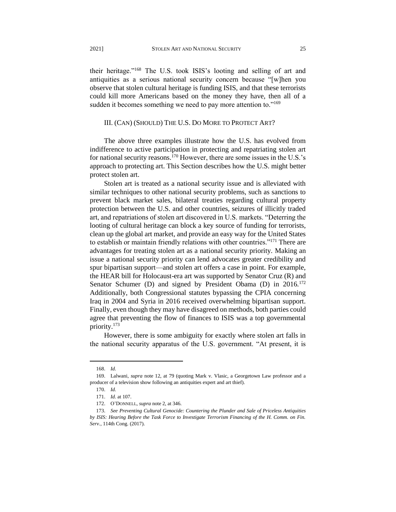their heritage."<sup>168</sup> The U.S. took ISIS's looting and selling of art and antiquities as a serious national security concern because "[w]hen you observe that stolen cultural heritage is funding ISIS, and that these terrorists could kill more Americans based on the money they have, then all of a sudden it becomes something we need to pay more attention to."<sup>169</sup>

#### III. (CAN) (SHOULD) THE U.S. DO MORE TO PROTECT ART?

The above three examples illustrate how the U.S. has evolved from indifference to active participation in protecting and repatriating stolen art for national security reasons.<sup>170</sup> However, there are some issues in the U.S.'s approach to protecting art. This Section describes how the U.S. might better protect stolen art.

Stolen art is treated as a national security issue and is alleviated with similar techniques to other national security problems, such as sanctions to prevent black market sales, bilateral treaties regarding cultural property protection between the U.S. and other countries, seizures of illicitly traded art, and repatriations of stolen art discovered in U.S. markets. "Deterring the looting of cultural heritage can block a key source of funding for terrorists, clean up the global art market, and provide an easy way for the United States to establish or maintain friendly relations with other countries."<sup>171</sup> There are advantages for treating stolen art as a national security priority. Making an issue a national security priority can lend advocates greater credibility and spur bipartisan support—and stolen art offers a case in point. For example, the HEAR bill for Holocaust-era art was supported by Senator Cruz (R) and Senator Schumer (D) and signed by President Obama (D) in 2016.<sup>172</sup> Additionally, both Congressional statutes bypassing the CPIA concerning Iraq in 2004 and Syria in 2016 received overwhelming bipartisan support. Finally, even though they may have disagreed on methods, both parties could agree that preventing the flow of finances to ISIS was a top governmental priority.<sup>173</sup>

However, there is some ambiguity for exactly where stolen art falls in the national security apparatus of the U.S. government. "At present, it is

<sup>168.</sup> *Id.*

<sup>169.</sup> Lalwani, *supra* note 12, at 79 (quoting Mark v. Vlasic, a Georgetown Law professor and a producer of a television show following an antiquities expert and art thief).

<sup>170.</sup> *Id.*

<sup>171.</sup> *Id.* at 107.

<sup>172.</sup> O'DONNELL, *supra* note 2, at 346.

<sup>173.</sup> *See Preventing Cultural Genocide: Countering the Plunder and Sale of Priceless Antiquities by ISIS: Hearing Before the Task Force to Investigate Terrorism Financing of the H. Comm. on Fin. Serv.*, 114th Cong. (2017).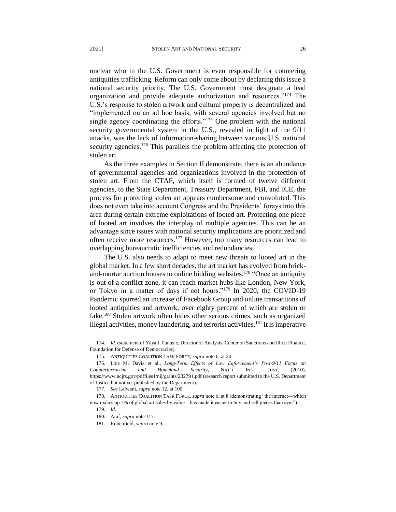unclear who in the U.S. Government is even responsible for countering antiquities trafficking. Reform can only come about by declaring this issue a national security priority. The U.S. Government must designate a lead organization and provide adequate authorization and resources."<sup>174</sup> The U.S.'s response to stolen artwork and cultural property is decentralized and "implemented on an ad hoc basis, with several agencies involved but no single agency coordinating the efforts."<sup>175</sup> One problem with the national security governmental system in the U.S., revealed in light of the 9/11 attacks, was the lack of information-sharing between various U.S. national security agencies.<sup>176</sup> This parallels the problem affecting the protection of stolen art.

As the three examples in Section II demonstrate, there is an abundance of governmental agencies and organizations involved in the protection of stolen art. From the CTAF, which itself is formed of twelve different agencies, to the State Department, Treasury Department, FBI, and ICE, the process for protecting stolen art appears cumbersome and convoluted. This does not even take into account Congress and the Presidents' forays into this area during certain extreme exploitations of looted art. Protecting one piece of looted art involves the interplay of multiple agencies. This can be an advantage since issues with national security implications are prioritized and often receive more resources.<sup>177</sup> However, too many resources can lead to overlapping bureaucratic inefficiencies and redundancies.

The U.S. also needs to adapt to meet new threats to looted art in the global market. In a few short decades, the art market has evolved from brickand-mortar auction houses to online bidding websites.<sup>178</sup> "Once an antiquity is out of a conflict zone, it can reach market hubs like London, New York, or Tokyo in a matter of days if not hours."<sup>179</sup> In 2020, the COVID-19 Pandemic spurred an increase of Facebook Group and online transactions of looted antiquities and artwork, over eighty percent of which are stolen or fake.<sup>180</sup> Stolen artwork often hides other serious crimes, such as organized illegal activities, money laundering, and terrorist activities.<sup>181</sup> It is imperative

<sup>174.</sup> *Id.* (statement of Yaya J. Fanusie, Director of Analysis, Center on Sanctions and Illicit Finance, Foundation for Defense of Democracies).

<sup>175.</sup> ANTIQUITIES COALITION TASK FORCE, *supra* note 6, at 20.

<sup>176.</sup> Lois M. Davis et al., *Long-Term Effects of Law Enforcement's Post-9/11 Focus on Counterterrorism and Homeland Security*, NAT'L INST. JUST. (2010), https://www.ncjrs.gov/pdffiles1/nij/grants/232791.pdf (research report submitted to the U.S. Department of Justice but not yet published by the Department).

 <sup>177.</sup> *See* Lalwani, *supra* note 12, at 100.

<sup>178.</sup> ANTIQUITIES COALITION TASK FORCE, *supra* note 6, at 8 (demonstrating "the internet—which now makes up 7% of global art sales by value—has made it easier to buy and sell pieces than ever").

<sup>179.</sup> *Id.*

<sup>180.</sup> Araf, *supra* note 117.

<sup>181.</sup> Rubenfield*, supra* note 9.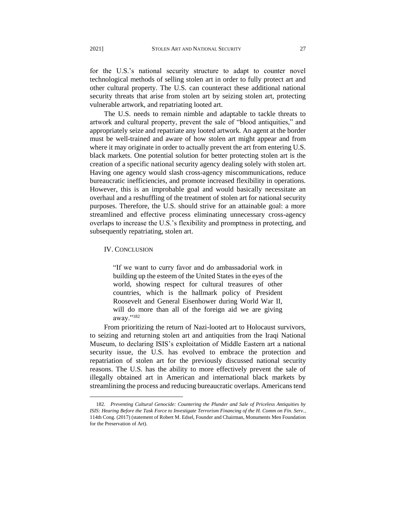for the U.S.'s national security structure to adapt to counter novel technological methods of selling stolen art in order to fully protect art and other cultural property. The U.S. can counteract these additional national security threats that arise from stolen art by seizing stolen art, protecting vulnerable artwork, and repatriating looted art.

The U.S. needs to remain nimble and adaptable to tackle threats to artwork and cultural property, prevent the sale of "blood antiquities," and appropriately seize and repatriate any looted artwork. An agent at the border must be well-trained and aware of how stolen art might appear and from where it may originate in order to actually prevent the art from entering U.S. black markets. One potential solution for better protecting stolen art is the creation of a specific national security agency dealing solely with stolen art. Having one agency would slash cross-agency miscommunications, reduce bureaucratic inefficiencies, and promote increased flexibility in operations. However, this is an improbable goal and would basically necessitate an overhaul and a reshuffling of the treatment of stolen art for national security purposes. Therefore, the U.S. should strive for an attainable goal: a more streamlined and effective process eliminating unnecessary cross-agency overlaps to increase the U.S.'s flexibility and promptness in protecting, and subsequently repatriating, stolen art.

#### IV. CONCLUSION

l

"If we want to curry favor and do ambassadorial work in building up the esteem of the United States in the eyes of the world, showing respect for cultural treasures of other countries, which is the hallmark policy of President Roosevelt and General Eisenhower during World War II, will do more than all of the foreign aid we are giving away."<sup>182</sup>

From prioritizing the return of Nazi-looted art to Holocaust survivors, to seizing and returning stolen art and antiquities from the Iraqi National Museum, to declaring ISIS's exploitation of Middle Eastern art a national security issue, the U.S. has evolved to embrace the protection and repatriation of stolen art for the previously discussed national security reasons. The U.S. has the ability to more effectively prevent the sale of illegally obtained art in American and international black markets by streamlining the process and reducing bureaucratic overlaps. Americans tend

<sup>182.</sup> *Preventing Cultural Genocide: Countering the Plunder and Sale of Priceless Antiquities by ISIS: Hearing Before the Task Force to Investigate Terrorism Financing of the H. Comm on Fin. Serv.*, 114th Cong. (2017) (statement of Robert M. Edsel, Founder and Chairman, Monuments Men Foundation for the Preservation of Art).